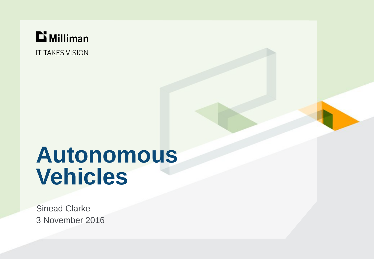

**IT TAKES VISION** 

# **Autonomous Vehicles**

3 November 2016 Sinead Clarke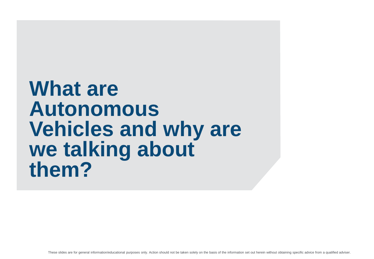## **What are Autonomous Vehicles and why are we talking about them?**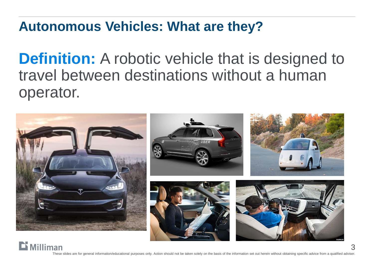### **Autonomous Vehicles: What are they?**

**Definition:** A robotic vehicle that is designed to travel between destinations without a human operator.

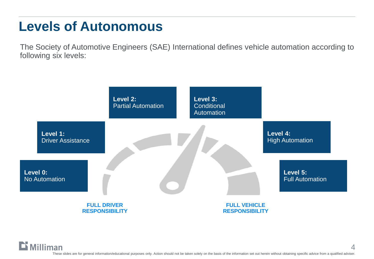### **Levels of Autonomous**

The Society of Automotive Engineers (SAE) International defines vehicle automation according to following six levels:

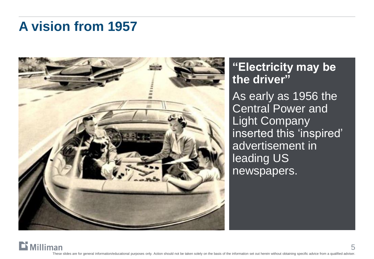### **A vision from 1957**



**"Electricity may be the driver"** As early as 1956 the Central Power and Light Company inserted this 'inspired' advertisement in leading US newspapers.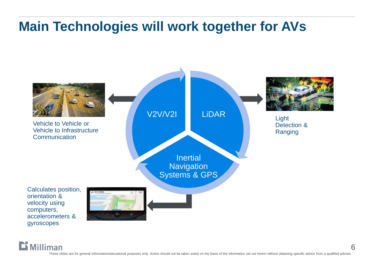## **Main Technologies will work together for AVs**



Dī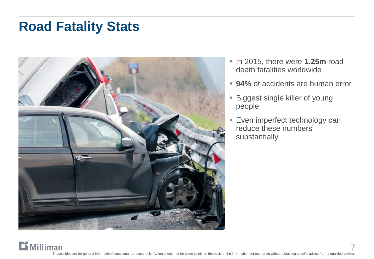### **Road Fatality Stats**



- **Io 12015, there were 1.25m road** death fatalities worldwide
- **94%** of accidents are human error
- **Biggest single killer of young** people
- **Even imperfect technology can** reduce these numbers substantially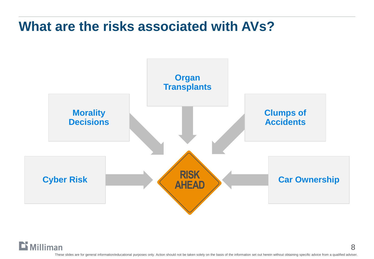### **What are the risks associated with AVs?**



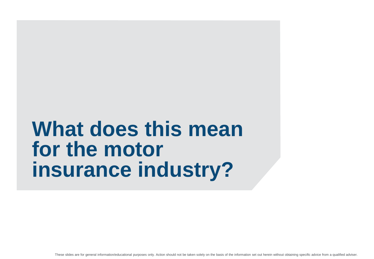## **What does this mean for the motor insurance industry?**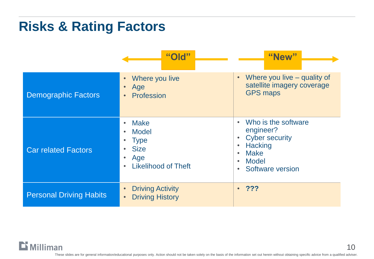### **Risks & Rating Factors**

|                                | "Old"                                                                                          | "New"                                                                                                                                                                                                  |
|--------------------------------|------------------------------------------------------------------------------------------------|--------------------------------------------------------------------------------------------------------------------------------------------------------------------------------------------------------|
| <b>Demographic Factors</b>     | Where you live<br>Age<br>Profession                                                            | Where you live $-$ quality of<br>$\bullet$<br>satellite imagery coverage<br><b>GPS maps</b>                                                                                                            |
| <b>Car related Factors</b>     | <b>Make</b><br><b>Model</b><br><b>Type</b><br><b>Size</b><br>Age<br><b>Likelihood of Theft</b> | Who is the software<br>$\bullet$<br>engineer?<br><b>Cyber security</b><br><b>Hacking</b><br>$\bullet$<br><b>Make</b><br>$\bullet$<br><b>Model</b><br>$\bullet$<br><b>Software version</b><br>$\bullet$ |
| <b>Personal Driving Habits</b> | <b>Driving Activity</b><br><b>Driving History</b>                                              | ?<br>$\bullet$                                                                                                                                                                                         |

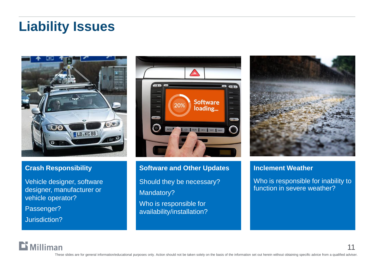### **Liability Issues**



#### **Crash Responsibility**

Vehicle designer, software designer, manufacturer or vehicle operator? Passenger?

Jurisdiction?

 $$ 



**Software and Other Updates** Should they be necessary? Mandatory? Who is responsible for availability/installation?



#### **Inclement Weather**

Who is responsible for inability to function in severe weather?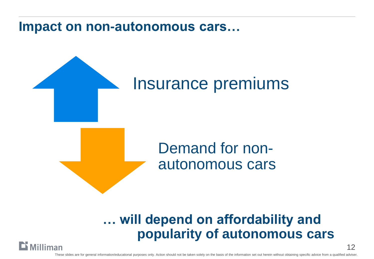**Impact on non-autonomous cars…**

# Insurance premiums

## Demand for nonautonomous cars

### **… will depend on affordability and popularity of autonomous cars**

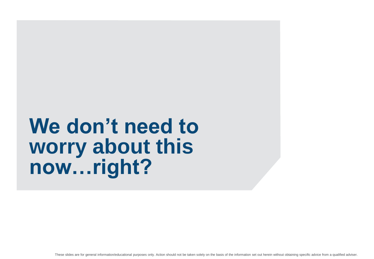## **We don't need to worry about this now…right?**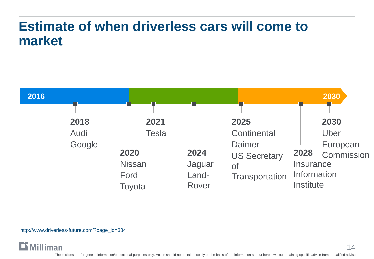### **Estimate of when driverless cars will come to market**



http://www.driverless-future.com/?page\_id=384

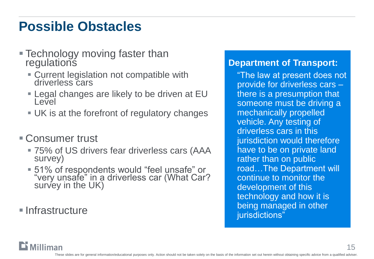## **Possible Obstacles**

- **Technology moving faster than regulations** 
	- Current legislation not compatible with driverless cars
	- Legal changes are likely to be driven at EU Level
	- UK is at the forefront of regulatory changes
- Consumer trust
	- 75% of US drivers fear driverless cars (AAA survey)
	- 51% of respondents would "feel unsafe" or "very unsafe" in a driverless car (What Car? survey in the UK)
- **Infrastructure**

**Millimar** 

### **Department of Transport:**

"The law at present does not provide for driverless cars – there is a presumption that someone must be driving a mechanically propelled vehicle. Any testing of driverless cars in this jurisdiction would therefore have to be on private land rather than on public road…The Department will continue to monitor the development of this technology and how it is being managed in other jurisdictions"